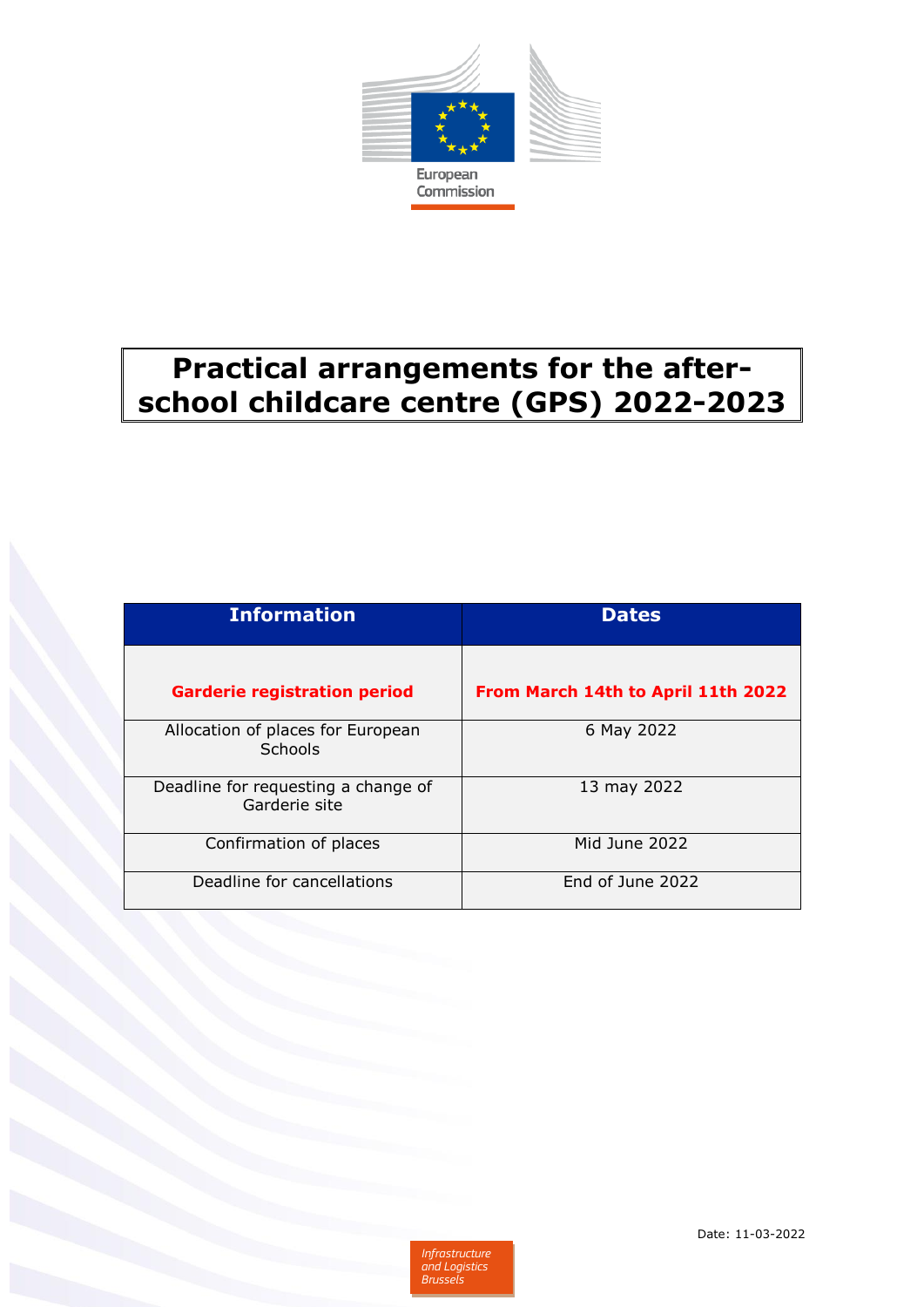

# **Practical arrangements for the afterschool childcare centre (GPS) 2022-2023**

| <b>Information</b>                                   | <b>Dates</b>                       |
|------------------------------------------------------|------------------------------------|
| <b>Garderie registration period</b>                  | From March 14th to April 11th 2022 |
| Allocation of places for European<br>Schools         | 6 May 2022                         |
| Deadline for requesting a change of<br>Garderie site | 13 may 2022                        |
| Confirmation of places                               | Mid June 2022                      |
| Deadline for cancellations                           | End of June 2022                   |

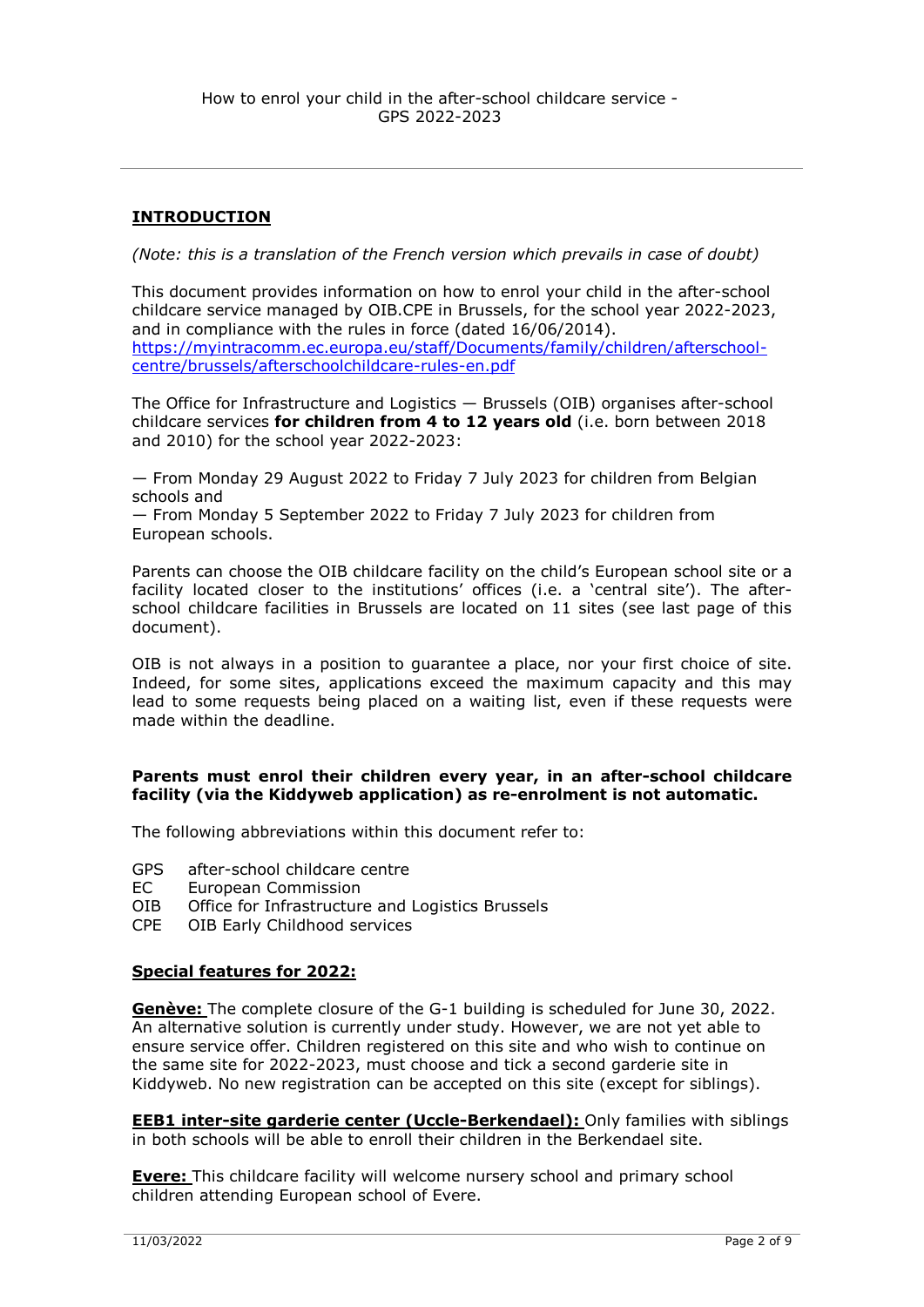## **INTRODUCTION**

*(Note: this is a translation of the French version which prevails in case of doubt)*

This document provides information on how to enrol your child in the after-school childcare service managed by OIB.CPE in Brussels, for the school year 2022-2023, and in compliance with the rules in force (dated 16/06/2014). [https://myintracomm.ec.europa.eu/staff/Documents/family/children/afterschool](https://myintracomm.ec.europa.eu/staff/Documents/family/children/afterschool-centre/brussels/afterschoolchildcare-rules-en.pdf)[centre/brussels/afterschoolchildcare-rules-en.pdf](https://myintracomm.ec.europa.eu/staff/Documents/family/children/afterschool-centre/brussels/afterschoolchildcare-rules-en.pdf)

The Office for Infrastructure and Logistics — Brussels (OIB) organises after-school childcare services **for children from 4 to 12 years old** (i.e. born between 2018 and 2010) for the school year 2022-2023:

— From Monday 29 August 2022 to Friday 7 July 2023 for children from Belgian schools and

— From Monday 5 September 2022 to Friday 7 July 2023 for children from European schools.

Parents can choose the OIB childcare facility on the child's European school site or a facility located closer to the institutions' offices (i.e. a 'central site'). The afterschool childcare facilities in Brussels are located on 11 sites (see last page of this document).

OIB is not always in a position to guarantee a place, nor your first choice of site. Indeed, for some sites, applications exceed the maximum capacity and this may lead to some requests being placed on a waiting list, even if these requests were made within the deadline.

#### **Parents must enrol their children every year, in an after-school childcare facility (via the Kiddyweb application) as re-enrolment is not automatic.**

The following abbreviations within this document refer to:

- GPS after-school childcare centre
- EC European Commission
- OIB Office for Infrastructure and Logistics Brussels
- CPE OIB Early Childhood services

#### **Special features for 2022:**

**Genève:** The complete closure of the G-1 building is scheduled for June 30, 2022. An alternative solution is currently under study. However, we are not yet able to ensure service offer. Children registered on this site and who wish to continue on the same site for 2022-2023, must choose and tick a second garderie site in Kiddyweb. No new registration can be accepted on this site (except for siblings).

**EEB1 inter-site garderie center (Uccle-Berkendael):** Only families with siblings in both schools will be able to enroll their children in the Berkendael site.

**Evere:** This childcare facility will welcome nursery school and primary school children attending European school of Evere.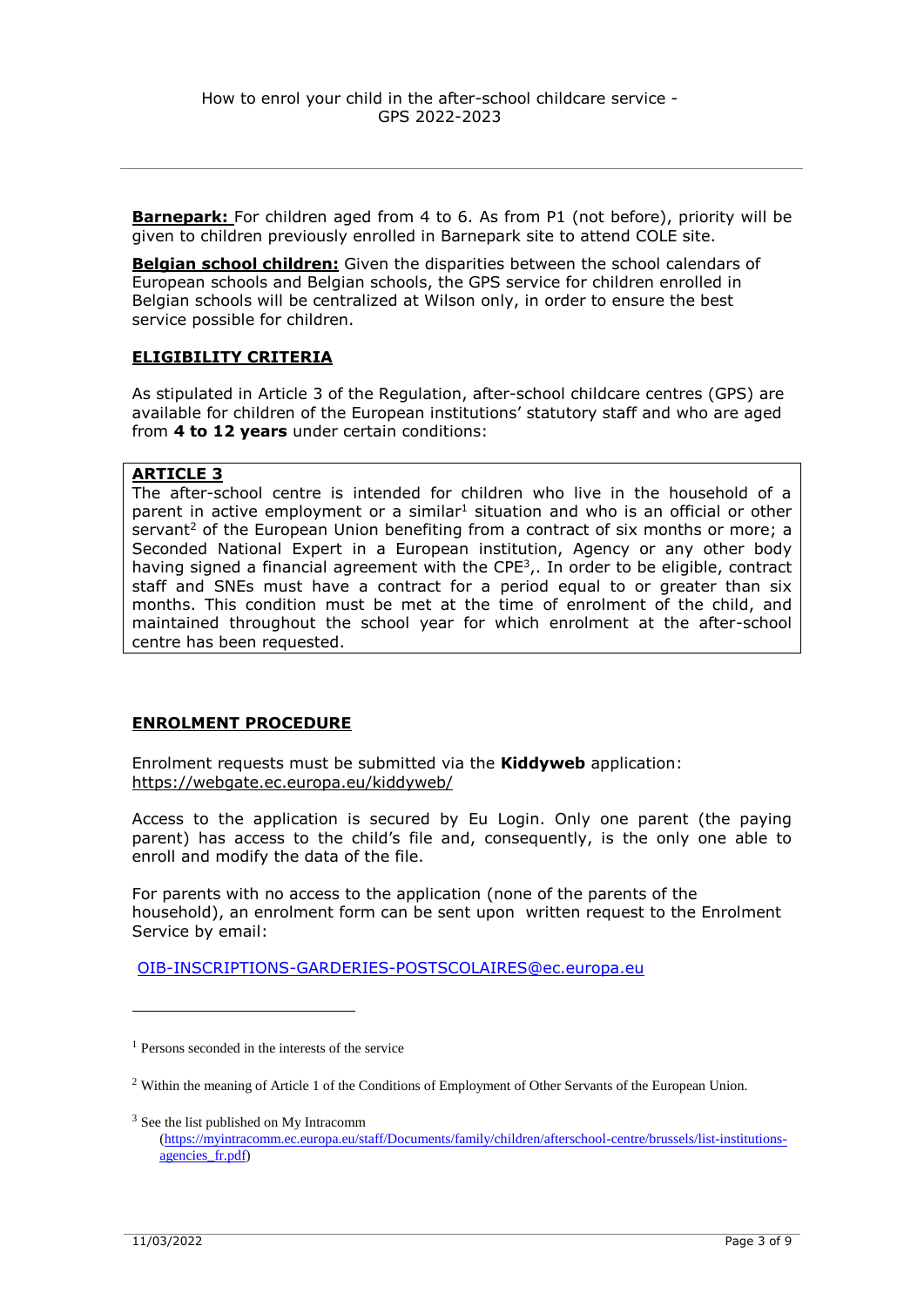**Barnepark:** For children aged from 4 to 6. As from P1 (not before), priority will be given to children previously enrolled in Barnepark site to attend COLE site.

**Belgian school children:** Given the disparities between the school calendars of European schools and Belgian schools, the GPS service for children enrolled in Belgian schools will be centralized at Wilson only, in order to ensure the best service possible for children.

#### **ELIGIBILITY CRITERIA**

As stipulated in Article 3 of the Regulation, after-school childcare centres (GPS) are available for children of the European institutions' statutory staff and who are aged from **4 to 12 years** under certain conditions:

#### **ARTICLE 3**

The after-school centre is intended for children who live in the household of a parent in active employment or a similar<sup>1</sup> situation and who is an official or other servant<sup>2</sup> of the European Union benefiting from a contract of six months or more; a Seconded National Expert in a European institution, Agency or any other body having signed a financial agreement with the CPE<sup>3</sup>,. In order to be eligible, contract staff and SNEs must have a contract for a period equal to or greater than six months. This condition must be met at the time of enrolment of the child, and maintained throughout the school year for which enrolment at the after-school centre has been requested.

### **ENROLMENT PROCEDURE**

Enrolment requests must be submitted via the **Kiddyweb** application: [https://webgate.ec.europa.eu/kiddyweb/](https://webgate.ec.europa.eu/kiddyweb/home.public)

Access to the application is secured by Eu Login. Only one parent (the paying parent) has access to the child's file and, consequently, is the only one able to enroll and modify the data of the file.

For parents with no access to the application (none of the parents of the household), an enrolment form can be sent upon written request to the Enrolment Service by email:

[OIB-INSCRIPTIONS-GARDERIES-POSTSCOLAIRES@ec.europa.eu](mailto:OIB-INSCRIPTIONS-GARDERIES-POSTSCOLAIRES@ec.europa.eu)

<sup>3</sup> See the list published on My Intracomm

1

<sup>&</sup>lt;sup>1</sup> Persons seconded in the interests of the service

<sup>&</sup>lt;sup>2</sup> Within the meaning of Article 1 of the Conditions of Employment of Other Servants of the European Union.

[<sup>\(</sup>https://myintracomm.ec.europa.eu/staff/Documents/family/children/afterschool-centre/brussels/list-institutions](https://myintracomm.ec.europa.eu/staff/Documents/family/children/afterschool-centre/brussels/list-institutions-agencies_fr.pdf)agencies fr.pdf)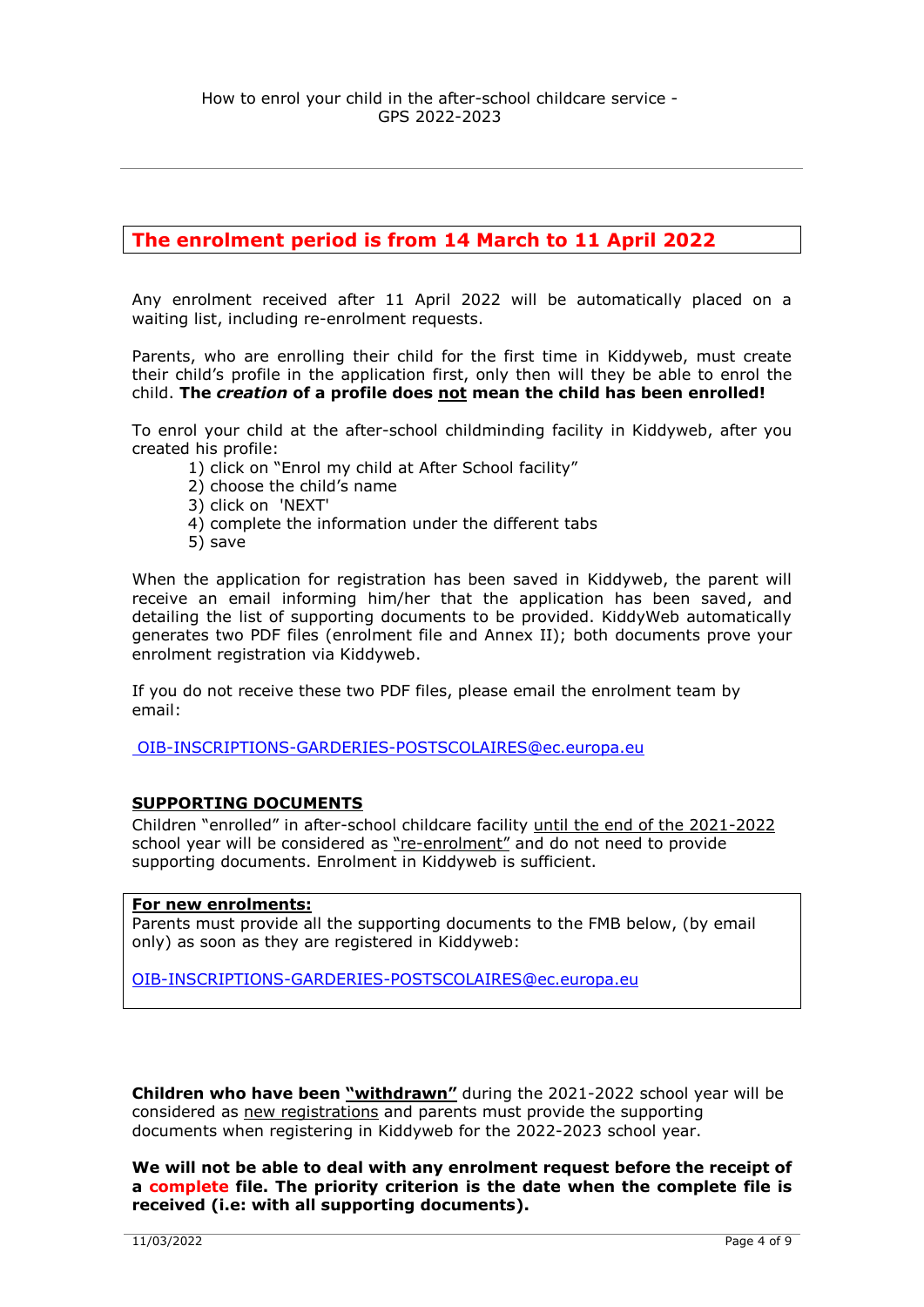# **The enrolment period is from 14 March to 11 April 2022**

Any enrolment received after 11 April 2022 will be automatically placed on a waiting list, including re-enrolment requests.

Parents, who are enrolling their child for the first time in Kiddyweb, must create their child's profile in the application first, only then will they be able to enrol the child. **The** *creation* **of a profile does not mean the child has been enrolled!**

To enrol your child at the after-school childminding facility in Kiddyweb, after you created his profile:

- 1) click on "Enrol my child at After School facility"
- 2) choose the child's name
- 3) click on 'NEXT'
- 4) complete the information under the different tabs
- 5) save

When the application for registration has been saved in Kiddyweb, the parent will receive an email informing him/her that the application has been saved, and detailing the list of supporting documents to be provided. KiddyWeb automatically generates two PDF files (enrolment file and Annex II); both documents prove your enrolment registration via Kiddyweb.

If you do not receive these two PDF files, please email the enrolment team by email:

[OIB-INSCRIPTIONS-GARDERIES-POSTSCOLAIRES@ec.europa.eu](mailto:%20OIB-INSCRIPTIONS-GARDERIES-POSTSCOLAIRES@ec.europa.eu)

#### **SUPPORTING DOCUMENTS**

Children "enrolled" in after-school childcare facility until the end of the 2021-2022 school year will be considered as "re-enrolment" and do not need to provide supporting documents. Enrolment in Kiddyweb is sufficient.

#### **For new enrolments:**

Parents must provide all the supporting documents to the FMB below, (by email only) as soon as they are registered in Kiddyweb:

[OIB-INSCRIPTIONS-GARDERIES-POSTSCOLAIRES@ec.europa.eu](mailto:OIB-INSCRIPTIONS-GARDERIES-POSTSCOLAIRES@ec.europa.eu)

**Children who have been "withdrawn"** during the 2021-2022 school year will be considered as new registrations and parents must provide the supporting documents when registering in Kiddyweb for the 2022-2023 school year.

**We will not be able to deal with any enrolment request before the receipt of a complete file. The priority criterion is the date when the complete file is received (i.e: with all supporting documents).**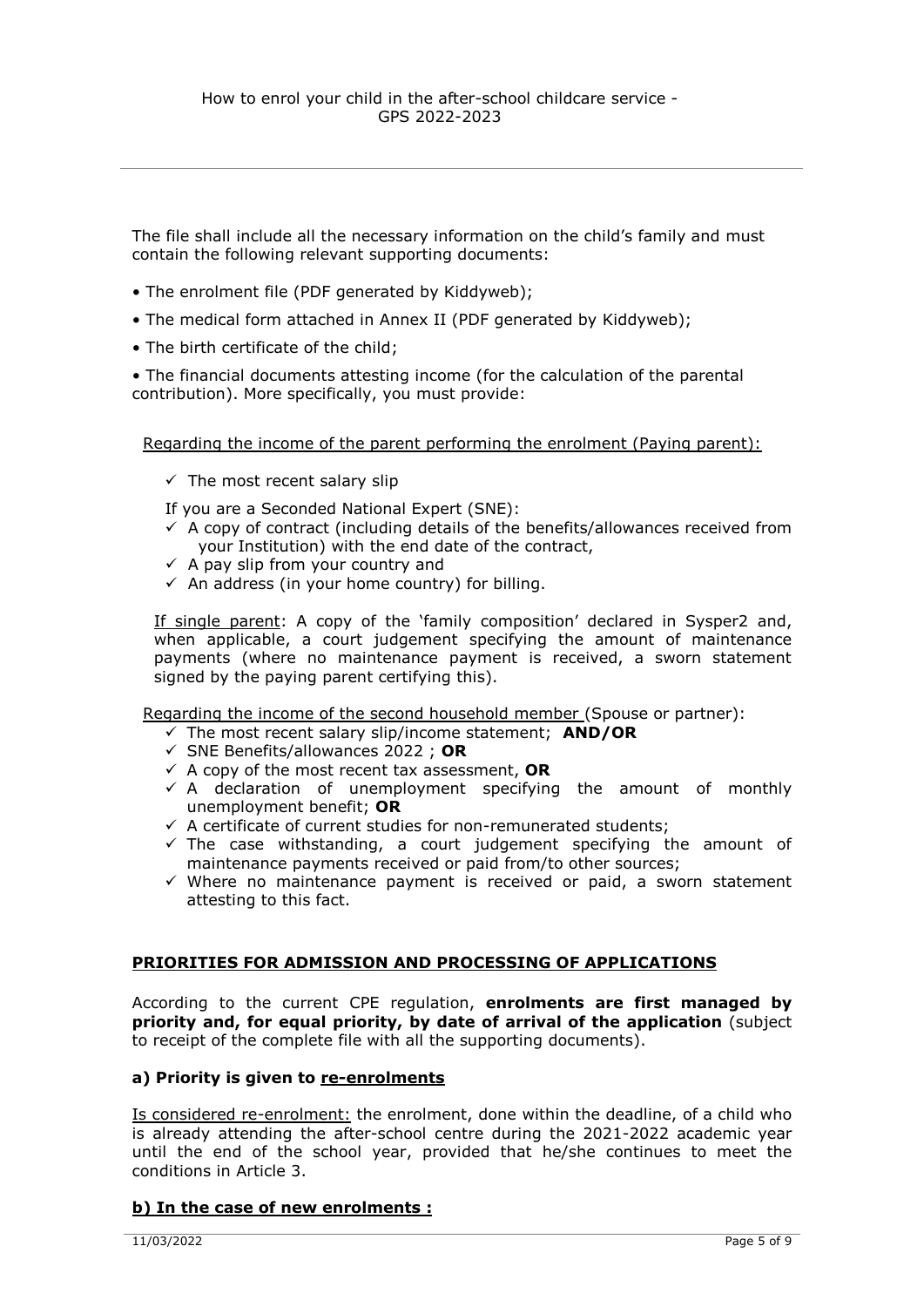The file shall include all the necessary information on the child's family and must contain the following relevant supporting documents:

- The enrolment file (PDF generated by Kiddyweb);
- The medical form attached in Annex II (PDF generated by Kiddyweb);
- The birth certificate of the child;

• The financial documents attesting income (for the calculation of the parental contribution). More specifically, you must provide:

Regarding the income of the parent performing the enrolment (Paying parent):

 $\checkmark$  The most recent salary slip

If you are a Seconded National Expert (SNE):

- $\checkmark$  A copy of contract (including details of the benefits/allowances received from your Institution) with the end date of the contract,
- $\checkmark$  A pay slip from your country and
- $\checkmark$  An address (in your home country) for billing.

If single parent: A copy of the 'family composition' declared in Sysper2 and, when applicable, a court judgement specifying the amount of maintenance payments (where no maintenance payment is received, a sworn statement signed by the paying parent certifying this).

Regarding the income of the second household member (Spouse or partner):

- The most recent salary slip/income statement; **AND/OR**
- SNE Benefits/allowances 2022 ; **OR**
- $\checkmark$  A copy of the most recent tax assessment, **OR**
- $\checkmark$  A declaration of unemployment specifying the amount of monthly unemployment benefit; **OR**
- $\checkmark$  A certificate of current studies for non-remunerated students;
- $\checkmark$  The case withstanding, a court judgement specifying the amount of maintenance payments received or paid from/to other sources;
- $\checkmark$  Where no maintenance payment is received or paid, a sworn statement attesting to this fact.

#### **PRIORITIES FOR ADMISSION AND PROCESSING OF APPLICATIONS**

According to the current CPE regulation, **enrolments are first managed by priority and, for equal priority, by date of arrival of the application** (subject to receipt of the complete file with all the supporting documents).

#### a) Priority is given to re-enrolments

Is considered re-enrolment: the enrolment, done within the deadline, of a child who is already attending the after-school centre during the 2021-2022 academic year until the end of the school year, provided that he/she continues to meet the conditions in Article 3.

#### **b) In the case of new enrolments :**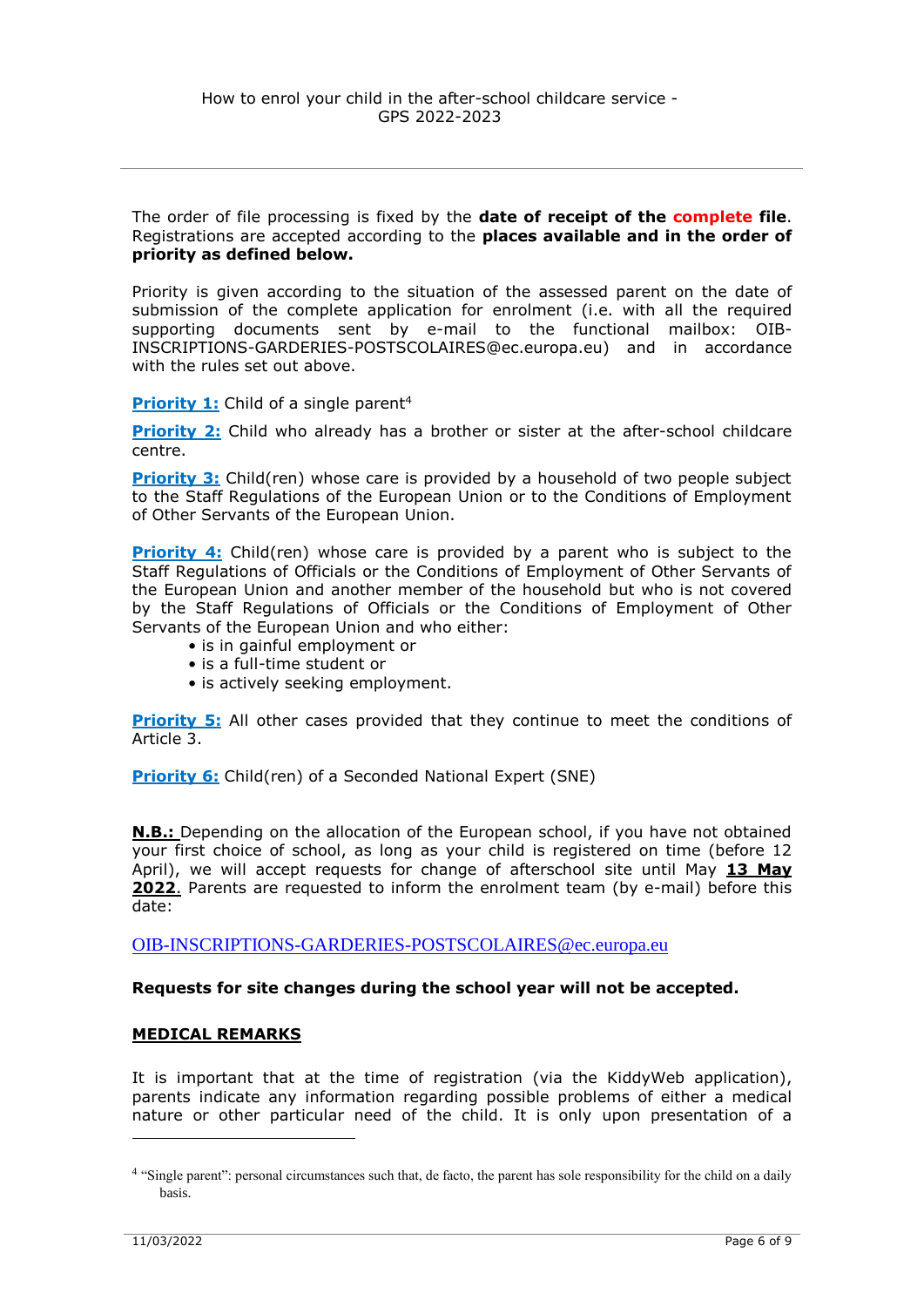The order of file processing is fixed by the **date of receipt of the complete file**. Registrations are accepted according to the **places available and in the order of priority as defined below.**

Priority is given according to the situation of the assessed parent on the date of submission of the complete application for enrolment (i.e. with all the required supporting documents sent by e-mail to the functional mailbox: OIB-INSCRIPTIONS-GARDERIES-POSTSCOLAIRES@ec.europa.eu) and in accordance with the rules set out above.

**Priority 1:** Child of a single parent<sup>4</sup>

**Priority 2:** Child who already has a brother or sister at the after-school childcare centre.

**Priority 3:** Child(ren) whose care is provided by a household of two people subject to the Staff Regulations of the European Union or to the Conditions of Employment of Other Servants of the European Union.

**Priority 4:** Child(ren) whose care is provided by a parent who is subject to the Staff Regulations of Officials or the Conditions of Employment of Other Servants of the European Union and another member of the household but who is not covered by the Staff Regulations of Officials or the Conditions of Employment of Other Servants of the European Union and who either:

- is in gainful employment or
- is a full-time student or
- is actively seeking employment.

**Priority 5:** All other cases provided that they continue to meet the conditions of Article 3.

**Priority 6:** Child(ren) of a Seconded National Expert (SNE)

**N.B.:** Depending on the allocation of the European school, if you have not obtained your first choice of school, as long as your child is registered on time (before 12 April), we will accept requests for change of afterschool site until May **13 May 2022**. Parents are requested to inform the enrolment team (by e-mail) before this date:

[OIB-INSCRIPTIONS-GARDERIES-POSTSCOLAIRES@ec.europa.eu](../../../../../../../Public/OIB.CPE/Coordination%20CPE2-CPE3/Rentrée%20GPS%202020-2021/OIB-INSCRIPTIONS-GARDERIES-POSTSCOLAIRES@ec.europa.eu)

#### **Requests for site changes during the school year will not be accepted.**

#### **MEDICAL REMARKS**

It is important that at the time of registration (via the KiddyWeb application), parents indicate any information regarding possible problems of either a medical nature or other particular need of the child. It is only upon presentation of a

<u>.</u>

<sup>&</sup>lt;sup>4</sup> "Single parent": personal circumstances such that, de facto, the parent has sole responsibility for the child on a daily basis.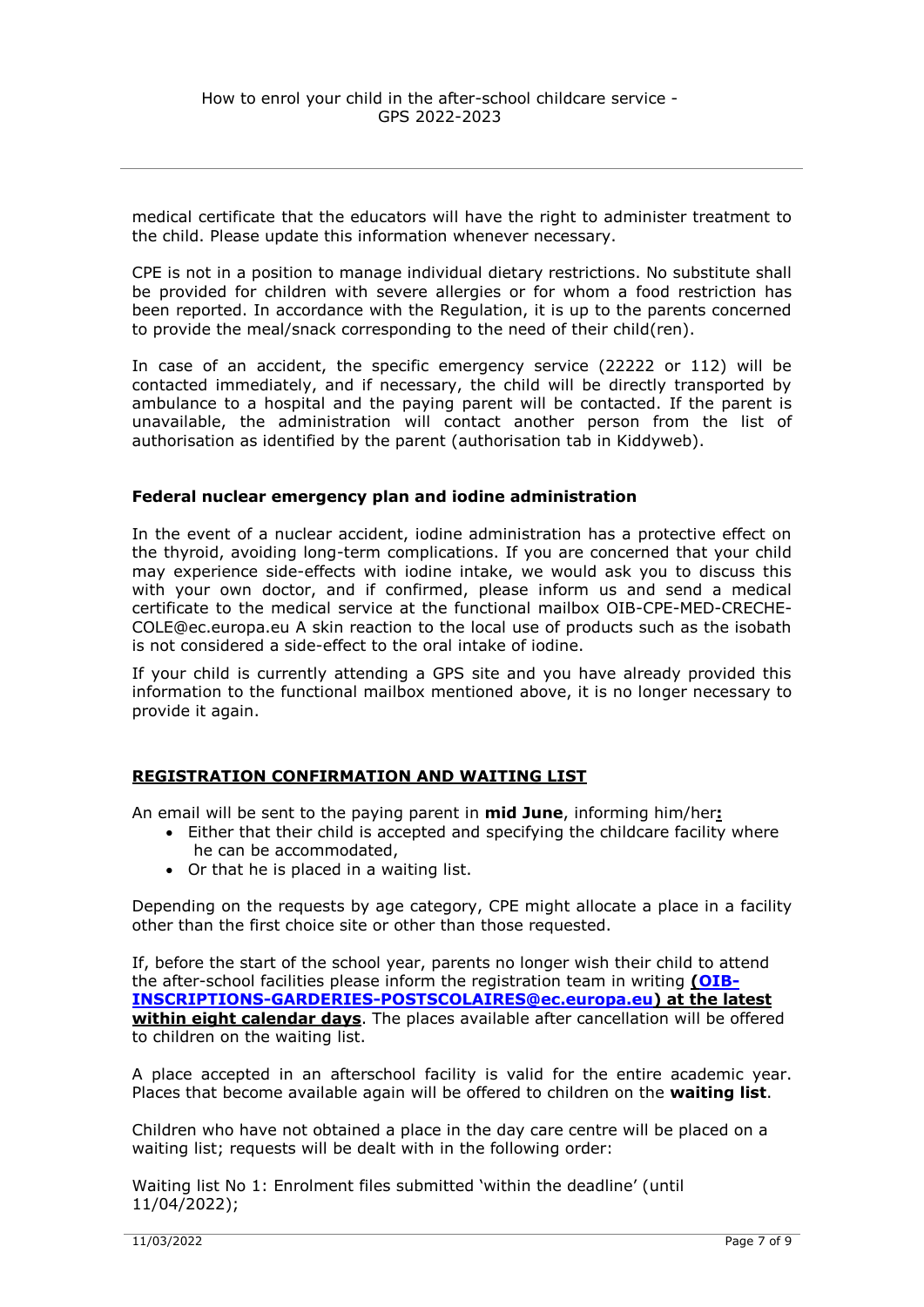medical certificate that the educators will have the right to administer treatment to the child. Please update this information whenever necessary.

CPE is not in a position to manage individual dietary restrictions. No substitute shall be provided for children with severe allergies or for whom a food restriction has been reported. In accordance with the Regulation, it is up to the parents concerned to provide the meal/snack corresponding to the need of their child(ren).

In case of an accident, the specific emergency service (22222 or 112) will be contacted immediately, and if necessary, the child will be directly transported by ambulance to a hospital and the paying parent will be contacted. If the parent is unavailable, the administration will contact another person from the list of authorisation as identified by the parent (authorisation tab in Kiddyweb).

#### **Federal nuclear emergency plan and iodine administration**

In the event of a nuclear accident, iodine administration has a protective effect on the thyroid, avoiding long-term complications. If you are concerned that your child may experience side-effects with iodine intake, we would ask you to discuss this with your own doctor, and if confirmed, please inform us and send a medical certificate to the medical service at the functional mailbox OIB-CPE-MED-CRECHE-COLE@ec.europa.eu A skin reaction to the local use of products such as the isobath is not considered a side-effect to the oral intake of iodine.

If your child is currently attending a GPS site and you have already provided this information to the functional mailbox mentioned above, it is no longer necessary to provide it again.

#### **REGISTRATION CONFIRMATION AND WAITING LIST**

An email will be sent to the paying parent in **mid June**, informing him/her**:**

- Either that their child is accepted and specifying the childcare facility where he can be accommodated,
	- Or that he is placed in a waiting list.

Depending on the requests by age category, CPE might allocate a place in a facility other than the first choice site or other than those requested.

If, before the start of the school year, parents no longer wish their child to attend the after-school facilities please inform the registration team in writing **[\(OIB-](mailto:OIB-INSCRIPTIONS-GARDERIES-POSTSCOLAIRES@ec.europa.eu)[INSCRIPTIONS-GARDERIES-POSTSCOLAIRES@ec.europa.eu\)](mailto:OIB-INSCRIPTIONS-GARDERIES-POSTSCOLAIRES@ec.europa.eu) at the latest within eight calendar days**. The places available after cancellation will be offered to children on the waiting list.

A place accepted in an afterschool facility is valid for the entire academic year. Places that become available again will be offered to children on the **waiting list**.

Children who have not obtained a place in the day care centre will be placed on a waiting list; requests will be dealt with in the following order:

Waiting list No 1: Enrolment files submitted 'within the deadline' (until 11/04/2022);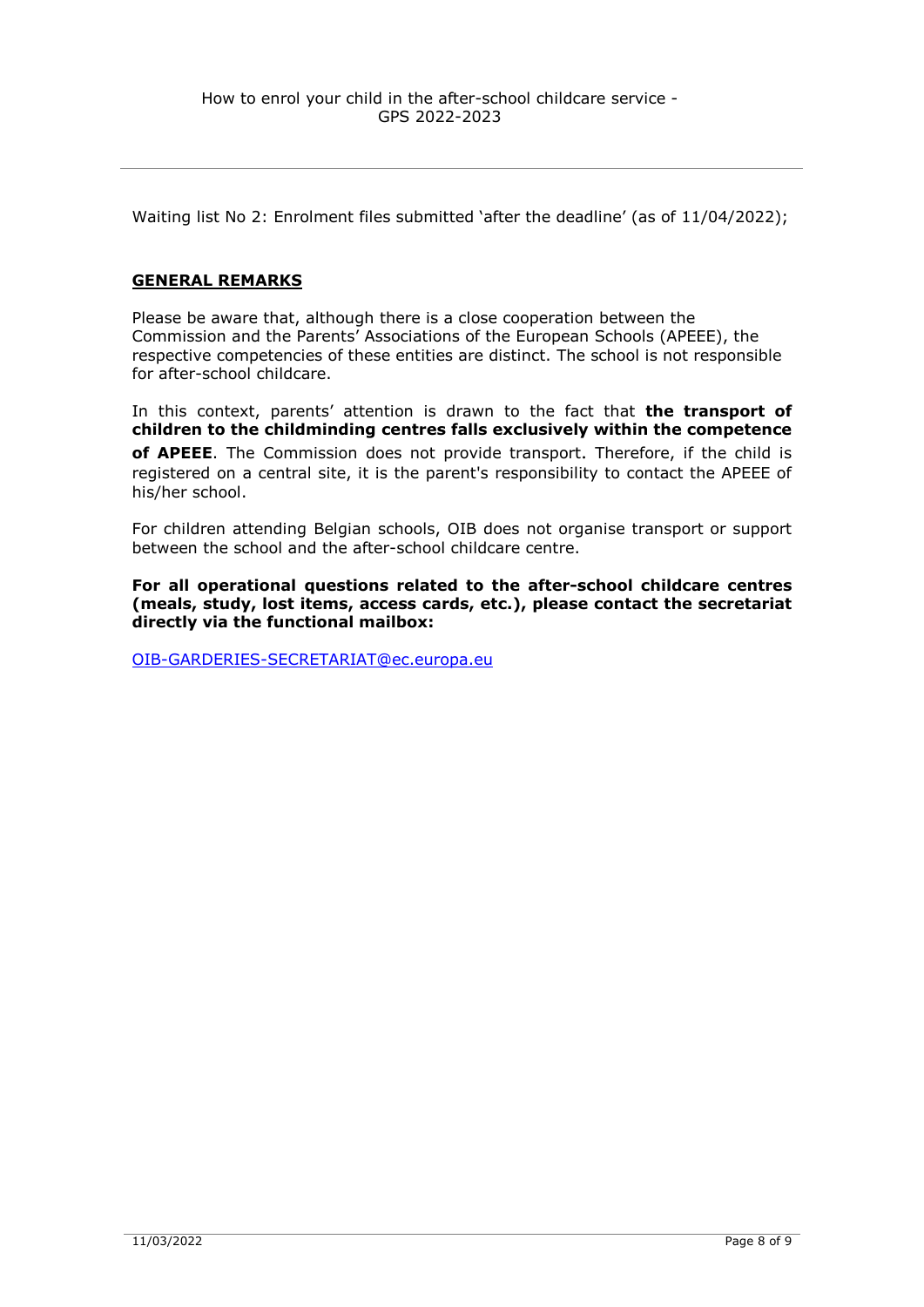Waiting list No 2: Enrolment files submitted 'after the deadline' (as of 11/04/2022);

#### **GENERAL REMARKS**

Please be aware that, although there is a close cooperation between the Commission and the Parents' Associations of the European Schools (APEEE), the respective competencies of these entities are distinct. The school is not responsible for after-school childcare.

In this context, parents' attention is drawn to the fact that **the transport of children to the childminding centres falls exclusively within the competence of APEEE**. The Commission does not provide transport. Therefore, if the child is registered on a central site, it is the parent's responsibility to contact the APEEE of his/her school.

For children attending Belgian schools, OIB does not organise transport or support between the school and the after-school childcare centre.

**For all operational questions related to the after-school childcare centres (meals, study, lost items, access cards, etc.), please contact the secretariat directly via the functional mailbox:**

[OIB-GARDERIES-SECRETARIAT@ec.europa.eu](mailto:OIB-GARDERIES-SECRETARIAT@ec.europa.eu)